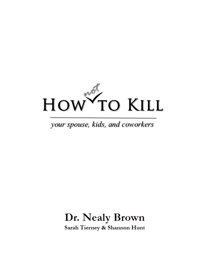

# your spouse, kids, and coworkers

# Dr. Nealy Brown Sarah Tierney & Shannon Hunt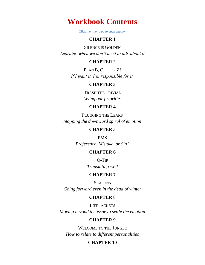**Workbook Contents**

*Click the title to go to each chapter*

# **[CHAPTER 1](#page-4-0)**

S[ILENCE IS](#page-4-1) GOLDEN *[Learning when we don't need to talk about it](#page-4-2)*

#### **[CHAPTER 2](#page-5-0)**

P[LAN](#page-5-1) B, C, . . .OR Z! *[If I want it, I'm responsible for it.](#page-5-2)*

#### **[CHAPTER 3](#page-6-0)**

T[RASH THE](#page-6-1) TRIVIAL *[Living our priorities](#page-6-2)*

#### **[CHAPTER 4](#page-7-0)**

P[LUGGING THE](#page-7-1) LEAKS *[Stopping the downward spiral of emotion](#page-7-2)*

# **[CHAPTER 5](#page-8-0)**

[PMS](#page-8-1) *[Preference, Mistake, or Sin?](#page-8-2)*

# **[CHAPTER 6](#page-9-0)**

[Q-T](#page-9-1)IP *[Translating well](#page-9-2)*

#### **[CHAPTER 7](#page-10-0)**

**S[EASONS](#page-10-1)** *[Going forward even in the dead of winter](#page-10-2)*

#### **[CHAPTER 8](#page-11-0)**

LIFE J[ACKETS](#page-11-1) *[Moving beyond the issue to settle the emotion](#page-11-2)*

#### **[CHAPTER 9](#page-13-0)**

W[ELCOME TO THE](#page-13-1) JUNGLE *[How to relate to different personalities](#page-13-2)*

### **[CHAPTER 10](#page-14-0)**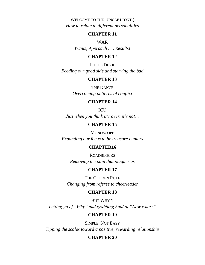W[ELCOME TO THE](#page-14-1) JUNGLE (CONT.) *[How to relate to different personalities](#page-14-2)*

#### **[CHAPTER 11](#page-16-0)**

[WAR](#page-16-1)

*[Wants, Approach . . . Results!](#page-16-2)*

# **[CHAPTER 12](#page-17-0)**

L[ITTLE](#page-17-1) DEVIL *[Feeding our good side and starving the bad](#page-17-2)*

# **[CHAPTER 13](#page-19-0)**

THE D[ANCE](#page-19-1) *[Overcoming patterns of conflict](#page-19-2)*

# **[CHAPTER 14](#page-21-0)**

**[ICU](#page-21-1)** 

*[Just when you think it's over, it's not…](#page-21-2)*

# **[CHAPTER 15](#page-23-0)**

**M[ONOSCOPE](#page-23-1)** *[Expanding our focus to be treasure hunters](#page-23-2)*

### **[CHAPTER16](#page-24-0)**

R[OADBLOCKS](#page-24-1) *[Removing the pain that plagues us](#page-24-2)*

### **[CHAPTER 17](#page-25-0)**

THE G[OLDEN](#page-25-1) RULE *[Changing from referee to cheerleader](#page-25-2)*

#### **[CHAPTER 18](#page-26-0)**

B[UT](#page-26-1) WHY?! *[Letting go of "Why" and grabbing hold of "Now what?"](#page-26-2)*

#### **[CHAPTER 19](#page-27-0)**

S[IMPLE](#page-27-1), NOT EASY *[Tipping the scales toward a positive, rewarding relationship](#page-27-2)*

#### **[CHAPTER 20](#page-28-0)**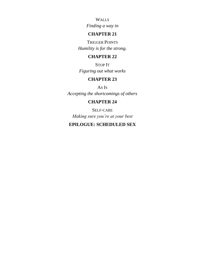W[ALLS](#page-28-1)

*[Finding a way in](#page-28-2)*

# **[CHAPTER 21](#page-29-0)**

T[RIGGER](#page-29-1) POINTS *[Humility is for the strong.](#page-29-2)*

# **[CHAPTER 22](#page-30-0)**

S[TOP](#page-30-1) IT *[Figuring out what works](#page-30-2)*

# **[CHAPTER 23](#page-31-0)**

[A](#page-31-1)S IS *[Accepting the shortcomings of others](#page-31-2)*

# **[CHAPTER 24](#page-32-0)**

SELF-[CARE](#page-32-1) *[Making sure you're at your best](#page-32-2)*

# **[EPILOGUE: SCHEDULED SEX](#page-33-0)**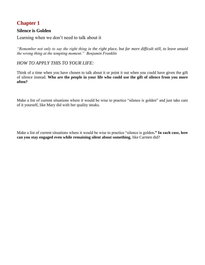# <span id="page-4-1"></span><span id="page-4-0"></span>**Silence is Golden**

<span id="page-4-2"></span>Learning when we don't need to talk about it

*"Remember not only to say the right thing in the right place, but far more difficult still, to leave unsaid the wrong thing at the tempting moment." Benjamin Franklin*

# *HOW TO APPLY THIS TO YOUR LIFE:*

Think of a time when you have chosen to talk about it or point it out when you could have given the gift of silence instead. **Who are the people in your life who could use the gift of silence from you more often?**

Make a list of current situations where it would be wise to practice "silence is golden" and just take care of it yourself, like Mary did with her quality steaks.

Make a list of current situations where it would be wise to practice "silence is golden**." In each case, how can you stay engaged even while remaining silent about something**, like Carmen did?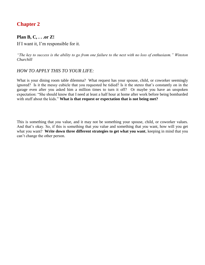# <span id="page-5-1"></span><span id="page-5-0"></span>**Plan B, C, . . .or Z!**

<span id="page-5-2"></span>If I want it, I'm responsible for it.

*"The key to success is the ability to go from one failure to the next with no loss of enthusiasm." Winston Churchill*

#### *HOW TO APPLY THIS TO YOUR LIFE:*

What is your dining room table dilemma? What request has your spouse, child, or coworker seemingly ignored? Is it the messy cubicle that you requested be tidied? Is it the stereo that's constantly on in the garage even after you asked him a million times to turn it off? Or maybe you have an unspoken expectation: "She should know that I need at least a half hour at home after work before being bombarded with stuff about the kids." **What is that request or expectation that is not being met?** 

This is something that *you* value, and it may not be something your spouse, child, or coworker values. And that's okay. So, if this is something that *you* value and something that *you* want, how will you get what you want? **Write down three different strategies to get what you want**, keeping in mind that you can't change the other person.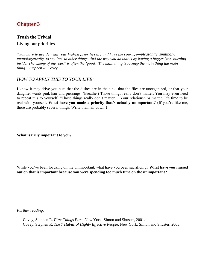# <span id="page-6-1"></span><span id="page-6-0"></span>**Trash the Trivial**

<span id="page-6-2"></span>Living our priorities

*"You have to decide what your highest priorities are and have the courage—pleasantly, smilingly, unapologetically, to say 'no' to other things. And the way you do that is by having a bigger 'yes' burning inside. The enemy of the 'best' is often the 'good.' The main thing is to keep the main thing the main thing." Stephen R. Covey*

### *HOW TO APPLY THIS TO YOUR LIFE:*

I know it may drive you nuts that the dishes are in the sink, that the files are unorganized, or that your daughter wants pink hair and piercings. (Breathe.) Those things really don't matter. You may even need to repeat this to yourself: "Those things really don't matter." Your relationships matter. It's time to be real with yourself. **What have you made a priority that's actually unimportant?** (If you're like me, there are probably several things. Write them all down!)

**What is truly important to you?** 

While you've been focusing on the unimportant, what have you been sacrificing? **What have you missed out on that is important because you were spending too much time on the unimportant?**

*Further reading:*

Covey, Stephen R. *First Things First.* New York: Simon and Shuster, 2001. Covey, Stephen R. *The 7 Habits of Highly Effective People*. New York: Simon and Shuster, 2003.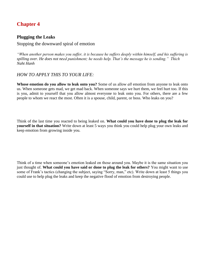# <span id="page-7-1"></span><span id="page-7-0"></span>**Plugging the Leaks**

<span id="page-7-2"></span>Stopping the downward spiral of emotion

*"When another person makes you suffer, it is because he suffers deeply within himself, and his suffering is spilling over. He does not need punishment; he needs help. That's the message he is sending." Thich Naht Hanh*

# *HOW TO APPLY THIS TO YOUR LIFE:*

**Whose emotion do you allow to leak onto you?** Some of us allow *all* emotion from anyone to leak onto us. When someone gets mad, we get mad back. When someone says we hurt them, we feel hurt too. If this is you, admit to yourself that you allow almost everyone to leak onto you. For others, there are a few people to whom we react the most. Often it is a spouse, child, parent, or boss. Who leaks on you?

Think of the last time you reacted to being leaked on. **What could you have done to plug the leak for yourself in that situation?** Write down at least 5 ways you think you could help plug your own leaks and keep emotion from growing inside you.

Think of a time when someone's emotion leaked on those around you. Maybe it is the same situation you just thought of. **What could you have said or done to plug the leak for others?** You might want to use some of Frank's tactics (changing the subject, saying "Sorry, man," etc). Write down at least 5 things you could use to help plug the leaks and keep the negative flood of emotion from destroying people.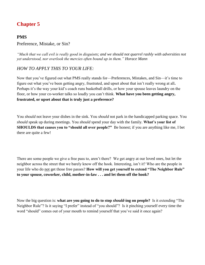# <span id="page-8-1"></span><span id="page-8-0"></span>**PMS**

### <span id="page-8-2"></span>Preference, Mistake, or Sin?

*"Much that we call evil is really good in disguises; and we should not quarrel rashly with adversities not yet understood, nor overlook the mercies often bound up in them." Horace Mann*

# *HOW TO APPLY THIS TO YOUR LIFE:*

Now that you've figured out what PMS really stands for—Preferences, Mistakes, and Sin—it's time to figure out what you've been getting angry, frustrated, and upset about that isn't really wrong at all**.**  Perhaps it's the way your kid's coach runs basketball drills, or how your spouse leaves laundry on the floor, or how your co-worker talks so loudly you can't think. **What have you been getting angry, frustrated, or upset about that is truly just a preference?**

You *should* not leave your dishes in the sink. You *should* not park in the handicapped parking space. You *should* speak up during meetings. You *should* spend your day with the family. **What's your list of SHOULDS that causes you to "should all over people?"** Be honest; if you are anything like me, I bet there are quite a few!

There are some people we give a free pass to, aren't there? We get angry at our loved ones, but let the neighbor across the street that we barely know off the hook. Interesting, isn't it? Who are the people in your life who do not get those free passes? **How will you get yourself to extend "The Neighbor Rule" to your spouse, coworker, child, mother-in-law . . . and let them off the hook?** 

Now the big question is: **what are you going to do to stop** *should***-ing on people?** Is it extending "The Neighbor Rule"? Is it saying "I prefer" instead of "you should"? Is it pinching yourself every time the word "should" comes out of your mouth to remind yourself that you've said it once again?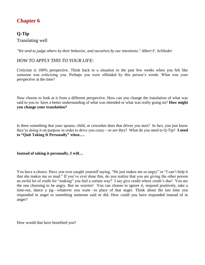# <span id="page-9-1"></span><span id="page-9-0"></span>**Q-Tip**

<span id="page-9-2"></span>Translating well

*"We tend to judge others by their behavior, and ourselves by our intentions." Albert F. Schlieder*

# *HOW TO APPLY THIS TO YOUR LIFE:*

Criticism is 100% perspective. Think back to a situation in the past few weeks when you felt like someone was criticizing you. Perhaps you were offended by this person's words. What was your perspective at the time?

Now choose to look at it from a different perspective. How can you change the translation of what was said to you to have a better understanding of what was intended or what was really going on? **How might you change your translation?**

Is there something that your spouse, child, or coworker does that drives you nuts? In fact, you just know they're doing it on purpose in order to drive you crazy—or are they? What do you need to Q-Tip? **I need to "Quit Taking It Personally" when….** 

**Instead of taking it personally, I will…**

You have a choice. Have you ever caught yourself saying, "He just makes me so angry" or "I can't help it that she makes me so mad." If you've ever done this, do you realize that you are giving the other person an awful lot of credit for "making" you feel a certain way? I say give credit where credit's due! You are the one choosing to be angry. But no worries! You can choose to ignore it, respond positively, take a time-out, dance a jig—whatever you want—in place of that anger. Think about the last time you responded in anger to something someone said or did. How could you have responded instead of in anger?

How would that have benefited you?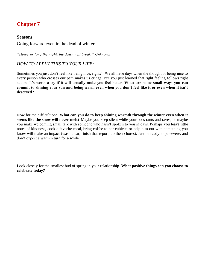#### <span id="page-10-1"></span><span id="page-10-0"></span>**Seasons**

<span id="page-10-2"></span>Going forward even in the dead of winter

*"However long the night, the dawn will break." Unknown*

### *HOW TO APPLY THIS TO YOUR LIFE:*

Sometimes you just don't feel like being nice, right? We all have days when the thought of being nice to every person who crosses our path makes us cringe. But you just learned that right feeling follows right action. It's worth a try if it will actually make you feel better. **What are some small ways you can commit to shining your sun and being warm even when you don't feel like it or even when it isn't deserved?**

Now for the difficult one**. What can you do to keep shining warmth through the winter even when it seems like the snow will never melt?** Maybe you keep silent while your boss rants and raves, or maybe you make welcoming small talk with someone who hasn't spoken to you in days. Perhaps you leave little notes of kindness, cook a favorite meal, bring coffee to her cubicle, or help him out with something you know will make an impact (wash a car, finish that report, do their chores). Just be ready to persevere, and don't expect a warm return for a while.

Look closely for the smallest bud of spring in your relationship. **What positive things can you choose to celebrate today***?*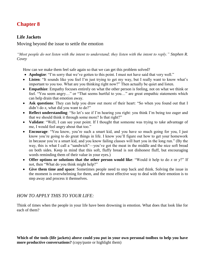# <span id="page-11-1"></span><span id="page-11-0"></span>**Life Jackets**

<span id="page-11-2"></span>Moving beyond the issue to settle the emotion

*"Most people do not listen with the intent to understand; they listen with the intent to reply." Stephen R. Covey*

How can we make them feel safe again so that we can get this problem solved?

- **Apologize**: "I'm sorry that we've gotten to this point. I must not have said that very well."
- **Listen**: "It sounds like you feel I'm just trying to get my way, but I really want to know what's important to you too. What are you thinking right now?" Then actually be quiet and listen.
- **Empathize**: Empathy focuses entirely on what the other person is feeling, not on what we think or feel. "You seem angry…" or "That seems hurtful to you…" are great empathic statements which can help drain that emotion away.
- **Ask questions**: They can help you draw out more of their heart: "So when you found out that I didn't do *x*, what did you want to do?"
- **Reflect understanding**: "So let's see if I'm hearing you right: you think I'm being too eager and that we should think it through some more? Is that right?"
- **Validate**: "Well, I can see your point. If I thought that someone was trying to take advantage of me, I would feel angry about that too."
- **Encourage**: "You know, you're such a smart kid, and you have so much going for you, I just know you're going to do great things in life. I know you'll figure out how to get your homework in because you're a smart kid, and you know failing classes will hurt you in the long run." (By the way, this is what I call a "sandwich"—you've got the meat in the middle and the nice soft bread on both sides. Keep in mind that this soft, fluffy bread is not dishonest fluff, but encouraging words reminding them of their value in your eyes.)
- **Offer options or solutions that the other person would like**: "Would it help to do *x* or *y*?" If not, then "What do you think might help?"
- **Give them time and space**: Sometimes people need to step back and think. Solving the issue in the moment is overwhelming for them, and the most effective way to deal with their emotion is to step away and process it themselves.

# *HOW TO APPLY THIS TO YOUR LIFE:*

Think of times when the people in your life have been drowning in emotion. What does that look like for each of them?

**Which of the tools (life jackets) above could you put in your own personal toolbox to help you have more productive conversations?** (copy/paste or highlight them)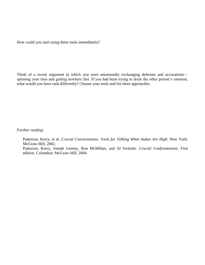How could you start using these tools immediately?

Think of a recent argument in which you were emotionally exchanging defenses and accusations spinning your tires and getting nowhere fast. If you had been trying to drain the other person's emotion, what would you have said differently? Choose your tools and list three approaches.

*Further reading:*

Patterson, Kerry, et al. *Crucial Conversations: Tools for Talking When Stakes Are High*. New York: McGraw-Hill, 2002.

Patterson, Kerry, Joseph Grenny, Ron McMillan, and Al Switzler. *Crucial Confrontations.* First edition*.* Columbus: McGraw-Hill, 2004.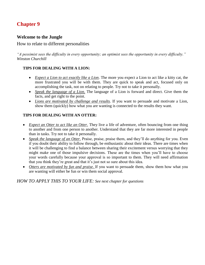# <span id="page-13-1"></span><span id="page-13-0"></span>**Welcome to the Jungle**

### <span id="page-13-2"></span>How to relate to different personalities

*"A pessimist sees the difficulty in every opportunity; an optimist sees the opportunity in every difficulty." Winston Churchill*

#### **TIPS FOR DEALING WITH A LION:**

- *Expect a Lion to act exactly like a Lion*. The more you expect a Lion to act like a kitty cat, the more frustrated you will be with them. They are quick to speak and act, focused only on accomplishing the task, not on relating to people. Try not to take it personally.
- *Speak the language of a Lion*. The language of a Lion is forward and direct. Give them the facts, and get right to the point.
- *Lions are motivated by challenge and results*. If you want to persuade and motivate a Lion, show them (quickly) how what you are wanting is connected to the results they want.

### **TIPS FOR DEALING WITH AN OTTER:**

- *Expect an Otter to act like an Otter*. They live a life of adventure, often bouncing from one thing to another and from one person to another. Understand that they are far more interested in people than in tasks. Try not to take it personally.
- *Speak the language of an Otter*. Praise, praise, praise them, and they'll do anything for you. Even if you doubt their ability to follow through, be enthusiastic about their ideas. There are times when it will be challenging to find a balance between sharing their excitement versus worrying that they might make one of those impulsive decisions. These are the times when you'll have to choose your words carefully because your approval is so important to them. They will need affirmation that you think they're great and that it's just not so sure about this idea.
- *Otters are motivated by fun and praise*. If you want to persuade them, show them how what you are wanting will either be fun or win them social approval.

*HOW TO APPLY THIS TO YOUR LIFE: See next chapter for questions*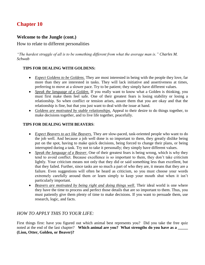# <span id="page-14-1"></span><span id="page-14-0"></span>**Welcome to the Jungle (cont.)**

### <span id="page-14-2"></span>How to relate to different personalities

*"The hardest struggle of all is to be something different from what the average man is." Charles M. Schwab*

#### **TIPS FOR DEALING WITH GOLDENS:**

- *Expect Goldens to be Goldens*. They are most interested in being with the people they love, far more than they are interested in tasks. They will lack initiative and assertiveness at times, preferring to move at a slower pace. Try to be patient; they simply have different values.
- *Speak the language of a Golden*. If you really want to know what a Golden is thinking, you must first make them feel safe. One of their greatest fears is losing stability or losing a relationship. So when conflict or tension arises, assure them that you are okay and that the relationship is fine, but that you just want to deal with the issue at hand.
- *Goldens are motivated by stable relationships*. Appeal to their desire to do things together, to make decisions together, and to live life together, peacefully.

#### **TIPS FOR DEALING WITH BEAVERS**:

- *Expect Beavers to act like Beavers*. They are slow-paced, task-oriented people who want to do the job well. And because a job well done is so important to them, they greatly dislike being put on the spot, having to make quick decisions, being forced to change their plans, or being interrupted during a task. Try not to take it personally; they simply have different values.
- *Speak the language of a Beaver*. One of their greatest fears is being wrong, which is why they tend to avoid conflict. Because excellence is so important to them, they don't take criticism lightly. Your criticism means not only that they did or said something less than excellent, but that they failed. Further, since tasks are so much a part of who they are, it means that they are a failure. Even suggestions will often be heard as criticism, so you must choose your words extremely carefully around them or learn simply to keep your mouth shut when it isn't particularly important.
- Beavers are motivated by being right and doing things well. Their ideal world is one where they have the time to process and perfect those details that are so important to them. Thus, you must patiently give them plenty of time to make decisions. If you want to persuade them, use research, logic, and facts.

# *HOW TO APPLY THIS TO YOUR LIFE:*

First things first: have you figured out which animal best represents you? Did you take the free quiz noted at the end of the last chapter? Which animal are you? What strengths do you have as a \_\_\_\_\_ **(Lion, Otter, Golden, or Beaver)?**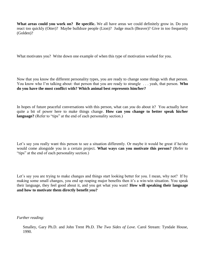**What areas could you work on? Be specific.** We all have areas we could definitely grow in. Do you react too quickly (Otter)? Maybe bulldoze people (Lion)? Judge much (Beaver)? Give in too frequently (Golden)?

What motivates you? Write down one example of when this type of motivation worked for you.

Now that you know the different personality types, you are ready to change some things with *that* person. You know who I'm talking about: that person that you are ready to strangle . . . yeah, that person. **Who do you have the most conflict with? Which animal best represents him/her?**

In hopes of future peaceful conversations with this person, what can *you* do about it? You actually have quite a bit of power here to make things change. **How can you change to better speak his/her language?** (Refer to "tips" at the end of each personality section.)

Let's say you really want this person to see a situation differently. Or maybe it would be great if he/she would come alongside you in a certain project. **What ways can you motivate this person?** (Refer to "tips" at the end of each personality section.)

Let's say you are trying to make changes and things start looking better for you. I mean, why not? If by making some small changes, you end up reaping major benefits then it's a win-win situation. You speak their language, they feel good about it, and you get what you want! **How will speaking their language and how to motivate them directly benefit** *you***?**

*Further reading:*

Smalley, Gary Ph.D. and John Trent Ph.D. *The Two Sides of Love.* Carol Stream: Tyndale House, 1990.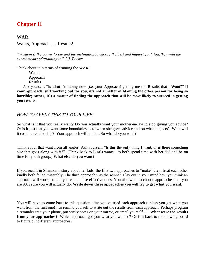# <span id="page-16-1"></span><span id="page-16-0"></span>**WAR**

<span id="page-16-2"></span>Wants, Approach . . . Results!

*"Wisdom is the power to see and the inclination to choose the best and highest goal, together with the surest means of attaining it." J. I. Packer*

Think about it in terms of winning the WAR:

**W**ants **A**pproach **R**esults

Ask yourself, "Is what I'm doing now (i.e. your **A**pproach) getting me the **R**esults that I **W**ant?" **If your approach isn't working out for you, it's not a matter of blaming the other person for being so horrible; rather, it's a matter of finding the approach that will be most likely to succeed in getting you results.**

### *HOW TO APPLY THIS TO YOUR LIFE:*

So what is it that you really want? Do you actually want your mother-in-law to stop giving you advice? Or is it just that you want some boundaries as to when she gives advice and on what subjects? What will it cost the relationship? Your approach **will** matter. So what do you want?

Think about that want from all angles. Ask yourself, "Is this the only thing I want, or is there something else that goes along with it?" (Think back to Lisa's wants—to both spend time with her dad and be on time for youth group.) **What else do you want?**

If you recall, in Shannon's story about her kids, the first two approaches to "make" them treat each other kindly both failed miserably. The third approach was the winner. Play out in your mind how you think an approach will work, so that you can choose effective ones. You also want to choose approaches that you are 90% sure you will actually do. **Write down three approaches you will try to get what you want.**

You will have to come back to this question after you've tried each approach (unless you get what you want from the first one!), so remind yourself to write out the results from each approach. Perhaps program a reminder into your phone, put sticky notes on your mirror, or email yourself . . . **What were the results from your approaches?** Which approach got you what you wanted? Or is it back to the drawing board to figure out different approaches?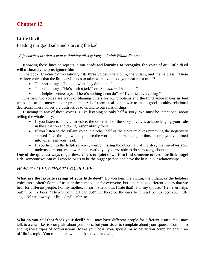# <span id="page-17-1"></span><span id="page-17-0"></span>**Little Devil**

<span id="page-17-2"></span>Feeding our good side and starving the bad

*"Life consists in what a man is thinking all day long." Ralph Waldo Emerson*

#### Knowing those lines he repeats in our heads and **learning to recognize the voice of our little devil will ultimately help us ignore him**.

The book, *Crucial Conversations*, lists three voices: the victim, the villain, and the helpless.<sup>8</sup> These are three voices that the little devil tends to take; which voice do you hear most often?

- The victim says, "Look at what they did to me."
- The villain says, "He's such a jerk!" or "She *knows* I hate that!"
- The helpless voice says, "There's nothing I can do" or "I've tried everything."

The first two voices are ways of blaming others for our problems and the third voice makes us feel weak and at the mercy of our problems. All of them steal our power to make good, healthy relational decisions. These voices are destructive to us and to our relationships*.* 

Listening to any of these voices is like listening to only half a story. We must be intentional about telling the whole story.

- If you listen to the victim voice, the other half of the story involves acknowledging your role in the situation and taking responsibility for it.
- If you listen to the villain voice, the other half of the story involves removing the negatively skewed filter through which you see the world and humanizing all those people you've turned into villains in your head.
- If you listen to the helpless voice, you're missing the other half of the story that involves your underused resources, power, and creativity—you *are* able to do *something* about this!

**One of the quickest ways to get these voices to quiet down is to find someone to feed our little angel side,** *s*omeone we can call who helps us to be the bigger person and have the best in our relationships.

# *HOW TO APPLY THIS TO YOUR LIFE:*

**What are the favorite sayings of your little devil?** Do you hear the victim, the villain, or the helpless voice most often? Some of us hear the same voice for everyone, but others have different voices that we hear for different people. For my mother, I hear: "She knows I hate that!" For my spouse: "He never helps out!" For my boss: "There's nothing I can do!" Let these be the cues to remind you to feed your little angel. Write down your little devil's phrases.

**Who do you call that feeds your devil?** You may have different people for different issues. You may talk to a coworker to complain about your boss, but your sister to complain about your spouse. Commit to ending these types of conversations. Make your boss, your spouse, or whoever you complain about, an off-limits topic. You can do this without them even knowing it.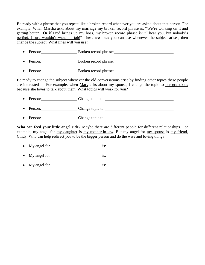Be ready with a phrase that you repeat like a broken record whenever you are asked about that person. For example, When Marsha asks about my marriage my broken record phrase is: "We're working on it and getting better." Or if Fred brings up my boss, my broken record phrase is: "I hear you, but nobody's perfect. I sure wouldn't want his job!" These are lines you can use whenever the subject arises, then change the subject. What lines will you use?

- Person: Broken record phrase: • Person: Broken record phrase:
- Person: Broken record phrase:

Be ready to change the subject whenever the old conversations arise by finding other topics these people are interested in. For example, when Mary asks about my spouse, I change the topic to her grandkids because she loves to talk about them. What topics will work for you?

- Person: Change topic to:
- Person: Change topic to:
- Person: Change topic to:

**Who can feed your little angel side?** Maybe there are different people for different relationships. For example, my angel for my daughter is my mother-in-law. But my angel for my spouse is my friend, Cindy. Who can help redirect you to be the bigger person and do the wise and loving thing?

| $\bullet$ My angel for | 1S: |
|------------------------|-----|
| $\bullet$ My angel for | 1S: |
| • My angel for         | 1S: |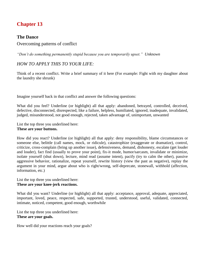# <span id="page-19-1"></span><span id="page-19-0"></span>**The Dance**

<span id="page-19-2"></span>Overcoming patterns of conflict

*"Don't do something permanently stupid because you are temporarily upset." Unknown*

# *HOW TO APPLY THIS TO YOUR LIFE:*

Think of a recent conflict. Write a brief summary of it here (For example: Fight with my daughter about the laundry she shrunk)

Imagine yourself back in that conflict and answer the following questions:

What did you feel? Underline (or highlight) all that apply: abandoned, betrayed, controlled, deceived, defective, disconnected, disrespected, like a failure, helpless, humiliated, ignored, inadequate, invalidated, judged, misunderstood, not good enough, rejected, taken advantage of, unimportant, unwanted

List the top three you underlined here:

#### **These are your buttons.**

How did you react? Underline (or highlight) all that apply: deny responsibility, blame circumstances or someone else, belittle (call names, mock, or ridicule), catastrophize (exaggerate or dramatize), control, criticize, cross-complain (bring up another issue), defensiveness, demand, dishonesty, escalate (get louder and louder), fact find (usually to prove your point), fix-it mode, humor/sarcasm, invalidate or minimize, isolate yourself (shut down), lecture, mind read (assume intent), pacify (try to calm the other), passive aggressive behavior, rationalize, repeat yourself, rewrite history (view the past as negative), replay the argument in your mind, argue about who is right/wrong, self-deprecate, stonewall, withhold (affection, information, etc.)

List the top three you underlined here: **These are your knee-jerk reactions.**

What did you want? Underline (or highlight) all that apply: acceptance, approval, adequate, appreciated, important, loved, peace, respected, safe, supported, trusted, understood, useful, validated, connected, intimate, noticed, competent, good enough, worthwhile

List the top three you underlined here: **These are your goals.**

How well did your reactions reach your goals?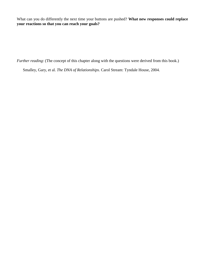What can you do differently the next time your buttons are pushed? **What new responses could replace your reactions so that you can reach your goals?**

*Further reading*: (The concept of this chapter along with the questions were derived from this book.)

Smalley, Gary, et al. *The DNA of Relationships*. Carol Stream: Tyndale House, 2004.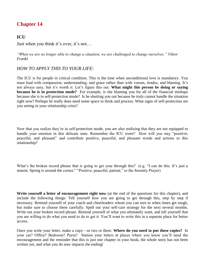# <span id="page-21-1"></span><span id="page-21-0"></span>**ICU**

<span id="page-21-2"></span>Just when you think it's over, it's not…

*"When we are no longer able to change a situation, we are challenged to change ourselves." Viktor Frankl*

# *HOW TO APPLY THIS TO YOUR LIFE:*

The ICU is for people in critical condition. This is the time when unconditional love is mandatory. You must lead with compassion, understanding, and grace rather than with venom, tirades, and blaming. It's not always easy, but it's worth it. Let's figure this out. **What might this person be doing or saying because he is in protection mode?** For example, is she blaming you for all of the financial mishaps because she is in self-protection mode? Is he shutting you out because he truly cannot handle the situation right now? Perhaps he really does need some space to think and process. What signs of self-protection are you seeing in your relationship crisis?

Now that you realize they're in self-protection mode, you are also realizing that they are not equipped to handle your emotion in this delicate state. Remember the ICU room? How will you stay "positive, peaceful, and pleasant" and contribute positive, peaceful, and pleasant words and actions to this relationship?

What's the broken record phrase that is going to get your through this? (e.g. "I can do this. It's just a season. Spring is around the corner," "Positive, peaceful, patient," or the Serenity Prayer)

**Write yourself a letter of encouragement right now** (at the end of the questions for this chapter), and include the following things: Tell yourself how you are going to get through this, step by step if necessary. Remind yourself of your coach and cheerleaders whom you can turn to when times get tough, but make sure to choose them carefully. Spell out your self-care strategy for the next several months. Write out your broken record phrase. Remind yourself of what you ultimately want, and tell yourself that you are willing to do what you need to do to get it. You'll want to write this in a separate place for better access.

Once you write your letter, make a copy—or two or three. **Where do you need to put these copies?** In your car? Office? Bedroom? Purse? Station your letters at places where you know you'll need the encouragement and the reminder that this is just one chapter in your book, the whole story has not been written yet, and what you do now impacts the ending!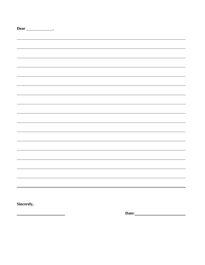| Dear<br>$\overline{\phantom{a}}$ |  |  |  |
|----------------------------------|--|--|--|
|                                  |  |  |  |
|                                  |  |  |  |
|                                  |  |  |  |
|                                  |  |  |  |
|                                  |  |  |  |
|                                  |  |  |  |
|                                  |  |  |  |
|                                  |  |  |  |
|                                  |  |  |  |
|                                  |  |  |  |
|                                  |  |  |  |
|                                  |  |  |  |
|                                  |  |  |  |
|                                  |  |  |  |
|                                  |  |  |  |
|                                  |  |  |  |
|                                  |  |  |  |
|                                  |  |  |  |
|                                  |  |  |  |
|                                  |  |  |  |
|                                  |  |  |  |
|                                  |  |  |  |
|                                  |  |  |  |
|                                  |  |  |  |
|                                  |  |  |  |
|                                  |  |  |  |
|                                  |  |  |  |
|                                  |  |  |  |
|                                  |  |  |  |
|                                  |  |  |  |
|                                  |  |  |  |
|                                  |  |  |  |
|                                  |  |  |  |
| Sincerely,                       |  |  |  |

 $\overline{\phantom{a}}$ 

**Date:**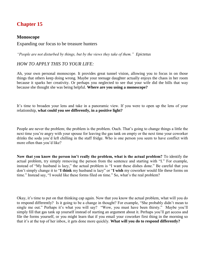# <span id="page-23-1"></span><span id="page-23-0"></span>**Monoscope**

<span id="page-23-2"></span>Expanding our focus to be treasure hunters

*"People are not disturbed by things, but by the views they take of them." Epictetus*

### *HOW TO APPLY THIS TO YOUR LIFE:*

Ah, your own personal monoscope. It provides great tunnel vision, allowing you to focus in on those things that others keep doing wrong. Maybe your teenage daughter actually enjoys the chaos in her room because it sparks her creativity. Or perhaps you neglected to see that your wife did the bills that way because she thought she was being helpful. **Where are you using a monoscope?** 

It's time to broaden your lens and take in a panoramic view. If you were to open up the lens of your relationship, **what could you see differently, in a positive light?**

People are never the problem; the problem is the problem. Ouch. That's going to change things a little the next time you're angry with your spouse for leaving the gas tank on empty or the next time your coworker drinks the soda you'd left chilling in the staff fridge. Who is one person you seem to have conflict with more often than you'd like?

**Now that you know the person isn't really the problem, what is the actual problem?** To identify the actual problem, try simply removing the person from the sentence and starting with "I." For example, instead of "My husband is lazy," the actual problem is "I want these dishes done." Be careful that you don't simply change it to "**I think** my husband is lazy" or "**I wish** my coworker would file these forms on time." Instead say, "I would like these forms filed on time." So, what's the real problem?

Okay, it's time to put on that thinking cap again. Now that you know the actual problem, what will you do to respond differently? Is it going to be a change in thought? For example, "She probably didn't mean to single me out." Perhaps it's what you will say? "Wow, you must have been thirsty." Maybe you'll simply fill that gas tank up yourself instead of starting an argument about it. Perhaps you'll get access and file the forms yourself, or you might learn that if you email your coworker first thing in the morning so that it's at the top of her inbox, it gets done more quickly. **What will you do to respond differently?**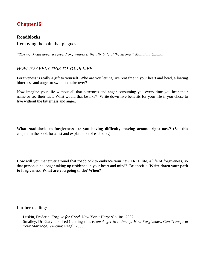# <span id="page-24-1"></span><span id="page-24-0"></span>**Roadblocks**

<span id="page-24-2"></span>Removing the pain that plagues us

*"The weak can never forgive. Forgiveness is the attribute of the strong." Mahatma Ghandi*

### *HOW TO APPLY THIS TO YOUR LIFE:*

Forgiveness is really a gift to yourself. Who are you letting live rent free in your heart and head, allowing bitterness and anger to swell and take over?

Now imagine your life without all that bitterness and anger consuming you every time you hear their name or see their face. What would that be like? Write down five benefits for your life if you chose to live without the bitterness and anger.

**What roadblocks to forgiveness are you having difficulty moving around right now?** (See this chapter in the book for a list and explanation of each one.)

How will you maneuver around that roadblock to embrace your new FREE life, a life of forgiveness, so that person is no longer taking up residence in your heart and mind? Be specific. **Write down your path to forgiveness. What are you going to do? When?**

Further reading:

Luskin, Frederic. *Forgive for Good.* New York: HarperCollins, 2002. Smalley, Dr. Gary, and Ted Cunningham. *From Anger to Intimacy: How Forgiveness Can Transform Your Marriage.* Ventura: Regal, 2009.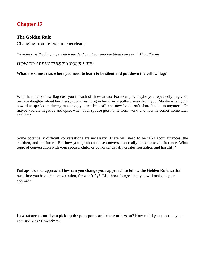# <span id="page-25-1"></span><span id="page-25-0"></span>**The Golden Rule**

<span id="page-25-2"></span>Changing from referee to cheerleader

*"Kindness is the language which the deaf can hear and the blind can see." Mark Twain*

# *HOW TO APPLY THIS TO YOUR LIFE:*

#### **What are some areas where you need to learn to be silent and put down the yellow flag?**

What has that yellow flag cost you in each of those areas? For example, maybe you repeatedly nag your teenage daughter about her messy room, resulting in her slowly pulling away from you. Maybe when your coworker speaks up during meetings, you cut him off, and now he doesn't share his ideas anymore. Or maybe you are negative and upset when your spouse gets home from work, and now he comes home later and later.

Some potentially difficult conversations are necessary. There will need to be talks about finances, the children, and the future. But how you go about those conversation really does make a difference. What topic of conversation with your spouse, child, or coworker usually creates frustration and hostility?

Perhaps it's your approach. **How can you change your approach to follow the Golden Rule**, so that next time you have that conversation, fur won't fly? List three changes that you will make to your approach.

**In what areas could you pick up the pom-poms and cheer others on?** How could you cheer on your spouse? Kids? Coworkers?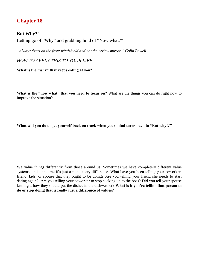# <span id="page-26-1"></span><span id="page-26-0"></span>**But Why?!**

<span id="page-26-2"></span>Letting go of "Why" and grabbing hold of "Now what?"

*"Always focus on the front windshield and not the review mirror." Colin Powell*

*HOW TO APPLY THIS TO YOUR LIFE:*

**What is the "why" that keeps eating at you?**

**What is the "now what" that you need to focus on?** What are the things you can do right now to improve the situation?

**What will you do to get yourself back on track when your mind turns back to "But why!?"**

We value things differently from those around us. Sometimes we have completely different value systems, and sometime it's just a momentary difference. What have you been telling your coworker, friend, kids, or spouse that they ought to be doing? Are you telling your friend she needs to start dating again? Are you telling your coworker to stop sucking up to the boss? Did you tell your spouse last night how they should put the dishes in the dishwasher? **What is it you're telling that person to do or stop doing that is really just a difference of values?**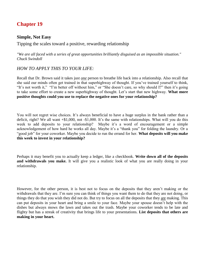### <span id="page-27-1"></span><span id="page-27-0"></span>**Simple, Not Easy**

<span id="page-27-2"></span>Tipping the scales toward a positive, rewarding relationship

*"We are all faced with a series of great opportunities brilliantly disguised as an impossible situation." Chuck Swindoll*

# *HOW TO APPLY THIS TO YOUR LIFE:*

Recall that Dr. Brown said it takes just *one* person to breathe life back into a relationship. Also recall that she said our minds often get trained in that superhighway of thought. If you've trained yourself to think, "It's not worth it," "I'm better off without him," or "She doesn't care, so why should I?" then it's going to take some effort to create a new superhighway of thought. Let's start that new highway. **What more positive thoughts could you use to replace the negative ones for your relationship?**

You will not regret wise choices. It's always beneficial to have a huge surplus in the bank rather than a deficit, right? We all want +\$1,000, not -\$1,000. It's the same with relationships. What will you do this week to add deposits to your relationship? Maybe it's a word of encouragement or a simple acknowledgement of how hard he works all day. Maybe it's a "thank you" for folding the laundry. Or a "good job" for your coworker. Maybe you decide to run the errand for her. **What deposits will you make this week to invest in your relationship?**

Perhaps it may benefit you to actually keep a ledger, like a checkbook. **Write down all of the deposits and withdrawals you make.** It will give you a realistic look of what you are really doing in your relationship.

However, for the other person, it is best not to focus on the deposits that they aren't making or the withdrawals that they are. I'm sure you can think of things you want them to do that they are not doing, or things they do that you wish they did not do. But try to focus on all the deposits that they are making. This can put deposits in your heart and bring a smile to your face. Maybe your spouse doesn't help with the dishes but always mows the lawn and takes out the trash. Maybe your coworker tends to be late and flighty but has a streak of creativity that brings life to your presentations. **List deposits that others are making in your heart.**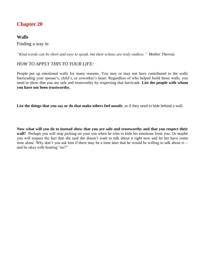# <span id="page-28-1"></span><span id="page-28-0"></span>**Walls**

### <span id="page-28-2"></span>Finding a way in

*"Kind words can be short and easy to speak, but their echoes are truly endless." Mother Theresa*

# *HOW TO APPLY THIS TO YOUR LIFE:*

People put up emotional walls for many reasons. You may or may not have contributed to the walls barricading your spouse's, child's, or coworker's heart. Regardless of who helped build those walls, you need to show that you are safe and trustworthy by respecting that barricade. **List the people with whom you have not been trustworthy.**

**List the things that you say or do that make others feel unsafe**, as if they need to hide behind a wall.

**Now what will you do to instead show that you are safe and trustworthy and that you respect their wall?** Perhaps you will stop picking on your son when he tries to hide his emotions from you. Or maybe you will respect the fact that she said she doesn't want to talk about it right now and let her have some time alone. Why don't you ask him if there may be a time later that he would be willing to talk about it and be okay with hearing "no?"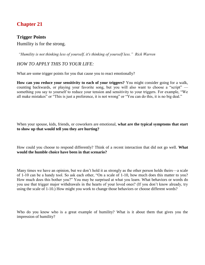# <span id="page-29-1"></span><span id="page-29-0"></span>**Trigger Points**

<span id="page-29-2"></span>Humility is for the strong.

*"Humility is not thinking less of yourself, it's thinking of yourself less." Rick Warren* 

# *HOW TO APPLY THIS TO YOUR LIFE:*

What are some trigger points for you that cause you to react emotionally?

**How can you reduce your sensitivity to each of your triggers?** You might consider going for a walk, counting backwards, or playing your favorite song, but you will also want to choose a "script" something you say to yourself to reduce your tension and sensitivity to your triggers. For example, "We all make mistakes" or "This is just a preference, it is not wrong" or "You can do this, it is no big deal."

When your spouse, kids, friends, or coworkers are emotional, **what are the typical symptoms that start to show up that would tell you they are hurting?**

How could you choose to respond differently? Think of a recent interaction that did not go well. **What would the humble choice have been in that scenario?**

Many times we have an opinion, but we don't hold it as strongly as the other person holds theirs—a scale of 1-10 can be a handy tool. So ask each other, "On a scale of 1-10, how much does this matter to you? How much does this bother you?" You may be surprised at what you learn. What behaviors or words do you use that trigger major withdrawals in the hearts of your loved ones? (If you don't know already, try using the scale of 1-10.) How might you work to change those behaviors or choose different words?

Who do you know who is a great example of humility? What is it about them that gives you the impression of humility?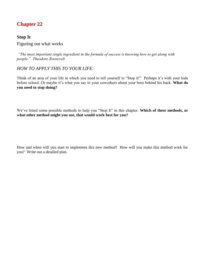# <span id="page-30-1"></span><span id="page-30-0"></span>**Stop It**

# <span id="page-30-2"></span>Figuring out what works

*"The most important single ingredient in the formula of success is knowing how to get along with people." Theodore Roosevelt* 

# *HOW TO APPLY THIS TO YOUR LIFE:*

Think of an area of your life in which you need to tell yourself to "Stop it!" Perhaps it's with your kids before school. Or maybe it's what you say to your coworkers about your boss behind his back. **What do you need to stop doing?**

We've listed some possible methods to help you "Stop It" in this chapter. **Which of these methods, or what other method might you use, that would work best for you?** 

How and when will you start to implement this new method? How will you make this method work for you? Write out a detailed plan.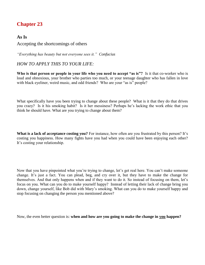# <span id="page-31-1"></span><span id="page-31-0"></span>**As Is**

### <span id="page-31-2"></span>Accepting the shortcomings of others

*"Everything has beauty but not everyone sees it." Confucius*

### *HOW TO APPLY THIS TO YOUR LIFE:*

**Who is that person or people in your life who you need to accept "as is"?** Is it that co-worker who is loud and obnoxious, your brother who parties too much, or your teenage daughter who has fallen in love with black eyeliner, weird music, and odd friends? Who are your "as is" people?

What specifically have you been trying to change about these people? What is it that they do that drives you crazy? Is it his smoking habit? Is it her messiness? Perhaps he's lacking the work ethic that you think he should have. What are you trying to change about them?

**What is a lack of acceptance costing you?** For instance, how often are you frustrated by this person? It's costing you happiness. How many fights have you had when you could have been enjoying each other? It's costing your relationship.

Now that you have pinpointed what you're trying to change, let's get real here. You can't make someone change. It's just a fact. You can plead, beg, and cry over it, but they have to make the change for themselves. And that only happens when and if they want to do it. So instead of focusing on them, let's focus on you. What can you do to make yourself happy? Instead of letting their lack of change bring you down, change yourself, like Bob did with Mary's smoking. What can you do to make yourself happy and stop focusing on changing the person you mentioned above?

Now, the even better question is: **when and how are you going to make the change in you happen?**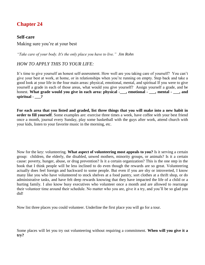### <span id="page-32-1"></span><span id="page-32-0"></span>**Self-care**

<span id="page-32-2"></span>Making sure you're at your best

*"Take care of your body. It's the only place you have to live." Jim Rohn* 

# *HOW TO APPLY THIS TO YOUR LIFE:*

It's time to give yourself an honest self-assessment. How well are you taking care of yourself? You can't give your best at work, at home, or in relationships when you're running on empty. Step back and take a good look at your life in the four main areas: physical, emotional, mental, and spiritual If you were to give yourself a grade in each of those areas, what would you give yourself? Assign yourself a grade, and be honest. **What grade would you give in each area: physical -\_\_\_, emotional - \_\_\_, mental - \_\_\_, and spiritual - \_\_\_?**

**For each area that you listed and graded, list three things that you will make into a new habit in order to fill yourself**. Some examples are: exercise three times a week, have coffee with your best friend once a month, journal every Sunday, play some basketball with the guys after work, attend church with your kids, listen to your favorite music in the morning, etc.

Now for the key: volunteering. **What aspect of volunteering most appeals to you?** Is it serving a certain group: children, the elderly, the disabled, unwed mothers, minority groups, or animals? Is it a certain cause: poverty, hunger, abuse, or drug prevention? Is it a certain organization? This is the one step in the book that I think people will be less inclined to do even though the rewards are so great. Volunteering actually does feel foreign and backward to some people. But even if you are shy or introverted, I know many like you who have volunteered to stock shelves at a food pantry, sort clothes at a thrift shop, or do administrative tasks, and have felt deep rewards knowing that they have impacted the life of a child or a hurting family. I also know busy executives who volunteer once a month and are allowed to rearrange their volunteer time around their schedule. No matter who you are, give it a try, and you'll be so glad you did!

Now list three places you could volunteer. Underline the first place you will go for a tour.

Some places will let you try out volunteering without requiring a commitment. **When will you give it a try?**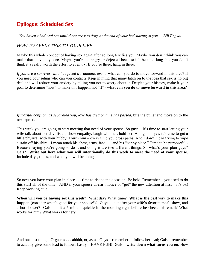# <span id="page-33-0"></span>**Epilogue: Scheduled Sex**

*"You haven't had real sex until there are two dogs at the end of your bed staring at you." Bill Engvall*

# *HOW TO APPLY THIS TO YOUR LIFE:*

Maybe this whole concept of having sex again after so long terrifies you. Maybe you don't think you can make that move anymore. Maybe you're so angry or dejected because it's been so long that you don't think it's really worth the effort to even try. If you're there, hang in there.

*If you are a survivor, who has faced a traumatic event,* what can you do to move forward in this area? If you need counseling who can you contact? Keep in mind that many latch on to the idea that sex is no big deal and will reduce your anxiety by telling you not to worry about it. Despite your history, make it your goal to determine "how" to make this happen, not "if" - **what can you do to move forward in this area?**

*If marital conflict has separated you, love has died or time has passed*, bite the bullet and move on to the next question.

This week you are going to start meeting that need of your spouse. So guys  $-$  it's time to start letting your wife talk about her day, listen, show empathy, laugh with her, hold her. And gals – yes, it's time to get a little physical with your hubby. Touch him – every time you cross paths. And I don't mean trying to wipe a stain off his shirt – I mean touch his chest, arms, face . . . and his "happy place." Time to be purposeful - Because saying you're going to do it and doing it are two different things. So what's your plan guys? Gals? **Write out here what you will intentionally do this week to meet the need of your spouse.**  Include days, times, and what you will be doing.

So now you have your plan in place . . . time to rise to the occasion. Be bold. Remember – you used to do this stuff all of the time! AND if your spouse doesn't notice or "get" the new attention at first – it's ok! Keep working at it.

**When will you be having sex this week?** What day? What time? **What is the** *best* **way to make this happen** (consider what's good for your spouse!)? Guys – is it after your wife's favorite meal, show, and a hot shower? Gals – is it a 5 minute quickie in the morning right before he checks his email? What works for him? What works for her?

And one last thing – Orgasms . . . ahhhh, orgasms. Guys – remember to follow her lead; Gals – remember to actually give some lead to follow. Lastly – HAVE FUN! **Gals – write down what turns you on**. How